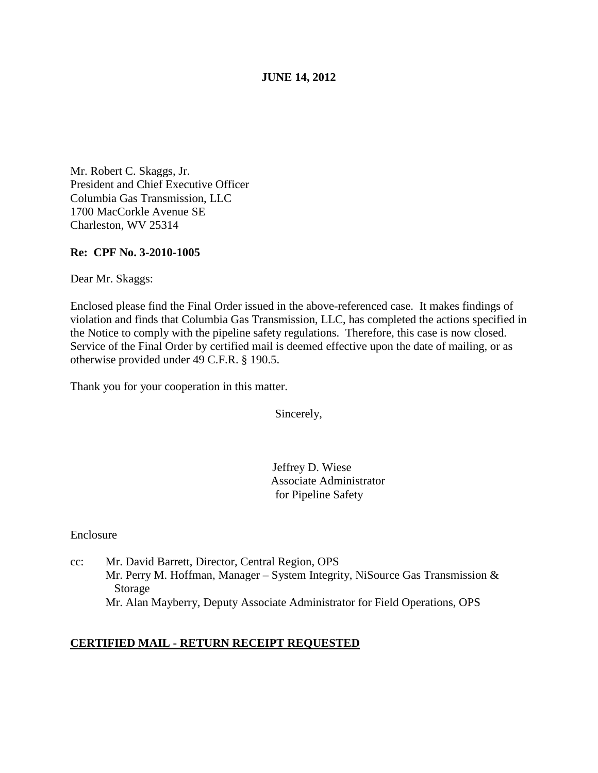### **JUNE 14, 2012**

Mr. Robert C. Skaggs, Jr. President and Chief Executive Officer Columbia Gas Transmission, LLC 1700 MacCorkle Avenue SE Charleston, WV 25314

#### **Re: CPF No. 3-2010-1005**

Dear Mr. Skaggs:

Enclosed please find the Final Order issued in the above-referenced case. It makes findings of violation and finds that Columbia Gas Transmission, LLC, has completed the actions specified in the Notice to comply with the pipeline safety regulations. Therefore, this case is now closed. Service of the Final Order by certified mail is deemed effective upon the date of mailing, or as otherwise provided under 49 C.F.R. § 190.5.

Thank you for your cooperation in this matter.

Sincerely,

 Jeffrey D. Wiese Associate Administrator for Pipeline Safety

Enclosure

cc: Mr. David Barrett, Director, Central Region, OPS Mr. Perry M. Hoffman, Manager – System Integrity, NiSource Gas Transmission & Storage Mr. Alan Mayberry, Deputy Associate Administrator for Field Operations, OPS

### **CERTIFIED MAIL - RETURN RECEIPT REQUESTED**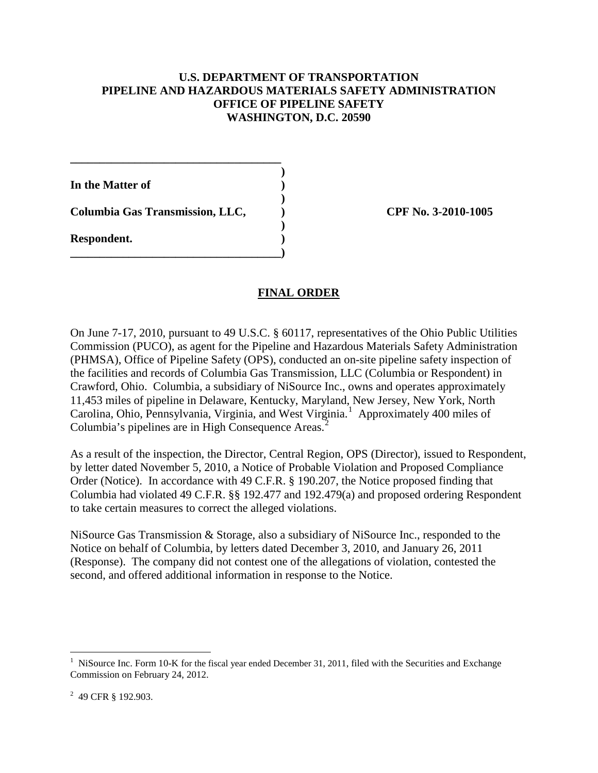### **U.S. DEPARTMENT OF TRANSPORTATION PIPELINE AND HAZARDOUS MATERIALS SAFETY ADMINISTRATION OFFICE OF PIPELINE SAFETY WASHINGTON, D.C. 20590**

**)**

**)**

**)**

**In the Matter of )**

**Columbia Gas Transmission, LLC, ) CPF No. 3-2010-1005**

**\_\_\_\_\_\_\_\_\_\_\_\_\_\_\_\_\_\_\_\_\_\_\_\_\_\_\_\_\_\_\_\_\_\_\_\_**

**\_\_\_\_\_\_\_\_\_\_\_\_\_\_\_\_\_\_\_\_\_\_\_\_\_\_\_\_\_\_\_\_\_\_\_\_)**

**Respondent. )**

# **FINAL ORDER**

On June 7-17, 2010, pursuant to 49 U.S.C. § 60117, representatives of the Ohio Public Utilities Commission (PUCO), as agent for the Pipeline and Hazardous Materials Safety Administration (PHMSA), Office of Pipeline Safety (OPS), conducted an on-site pipeline safety inspection of the facilities and records of Columbia Gas Transmission, LLC (Columbia or Respondent) in Crawford, Ohio. Columbia, a subsidiary of NiSource Inc., owns and operates approximately 11,453 miles of pipeline in Delaware, Kentucky, Maryland, New Jersey, New York, North Carolina, Ohio, Pennsylvania, Virginia, and West Virginia.<sup>[1](#page-1-0)</sup> Approximately 400 miles of Columbia's pipelines are in High Consequence Areas.<sup>[2](#page-1-1)</sup>

As a result of the inspection, the Director, Central Region, OPS (Director), issued to Respondent, by letter dated November 5, 2010, a Notice of Probable Violation and Proposed Compliance Order (Notice). In accordance with 49 C.F.R. § 190.207, the Notice proposed finding that Columbia had violated 49 C.F.R. §§ 192.477 and 192.479(a) and proposed ordering Respondent to take certain measures to correct the alleged violations.

NiSource Gas Transmission & Storage, also a subsidiary of NiSource Inc., responded to the Notice on behalf of Columbia, by letters dated December 3, 2010, and January 26, 2011 (Response). The company did not contest one of the allegations of violation, contested the second, and offered additional information in response to the Notice.

<span id="page-1-1"></span><sup>2</sup> 49 CFR § 192.903.

<span id="page-1-0"></span><sup>&</sup>lt;sup>1</sup> NiSource Inc. Form 10-K for the fiscal year ended December 31, 2011, filed with the Securities and Exchange Commission on February 24, 2012.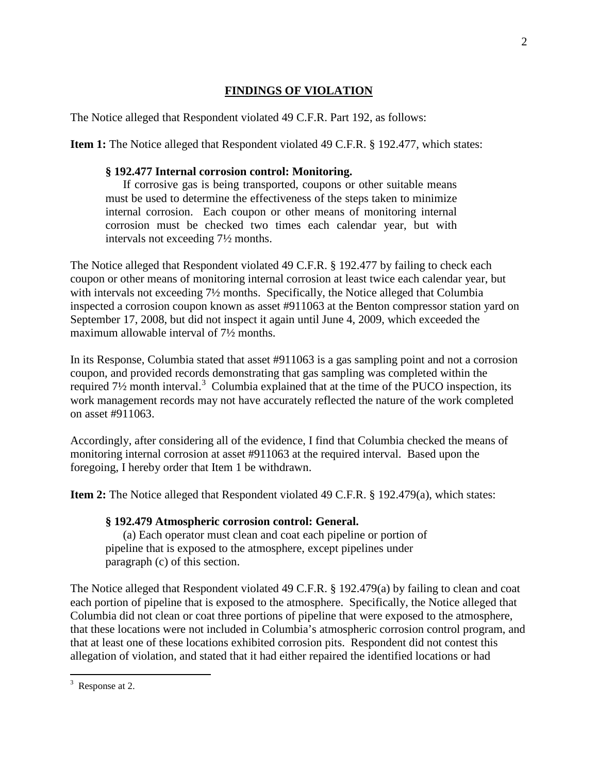# **FINDINGS OF VIOLATION**

The Notice alleged that Respondent violated 49 C.F.R. Part 192, as follows:

**Item 1:** The Notice alleged that Respondent violated 49 C.F.R. § 192.477, which states:

#### **§ 192.477 Internal corrosion control: Monitoring.**

If corrosive gas is being transported, coupons or other suitable means must be used to determine the effectiveness of the steps taken to minimize internal corrosion. Each coupon or other means of monitoring internal corrosion must be checked two times each calendar year, but with intervals not exceeding 7½ months.

The Notice alleged that Respondent violated 49 C.F.R. § 192.477 by failing to check each coupon or other means of monitoring internal corrosion at least twice each calendar year, but with intervals not exceeding  $7\frac{1}{2}$  months. Specifically, the Notice alleged that Columbia inspected a corrosion coupon known as asset #911063 at the Benton compressor station yard on September 17, 2008, but did not inspect it again until June 4, 2009, which exceeded the maximum allowable interval of 7½ months.

In its Response, Columbia stated that asset #911063 is a gas sampling point and not a corrosion coupon, and provided records demonstrating that gas sampling was completed within the required  $7\frac{1}{2}$  month interval.<sup>[3](#page-2-0)</sup> Columbia explained that at the time of the PUCO inspection, its work management records may not have accurately reflected the nature of the work completed on asset #911063.

Accordingly, after considering all of the evidence, I find that Columbia checked the means of monitoring internal corrosion at asset #911063 at the required interval. Based upon the foregoing, I hereby order that Item 1 be withdrawn.

**Item 2:** The Notice alleged that Respondent violated 49 C.F.R. § 192.479(a), which states:

## **§ 192.479 Atmospheric corrosion control: General.**

(a) Each operator must clean and coat each pipeline or portion of pipeline that is exposed to the atmosphere, except pipelines under paragraph (c) of this section.

The Notice alleged that Respondent violated 49 C.F.R. § 192.479(a) by failing to clean and coat each portion of pipeline that is exposed to the atmosphere. Specifically, the Notice alleged that Columbia did not clean or coat three portions of pipeline that were exposed to the atmosphere, that these locations were not included in Columbia's atmospheric corrosion control program, and that at least one of these locations exhibited corrosion pits. Respondent did not contest this allegation of violation, and stated that it had either repaired the identified locations or had

<span id="page-2-0"></span><sup>&</sup>lt;sup>2</sup><br>3  $3$  Response at 2.